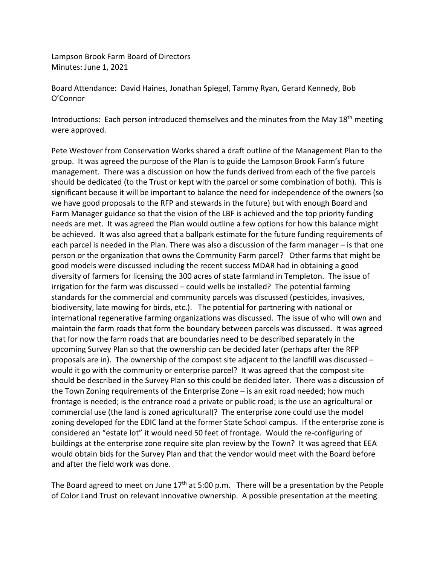Lampson Brook Farm Board of Directors Minutes: June 1, 2021

Board Attendance: David Haines, Jonathan Spiegel, Tammy Ryan, Gerard Kennedy, Bob O'Connor

Introductions: Each person introduced themselves and the minutes from the May 18<sup>th</sup> meeting were approved.

Pete Westover from Conservation Works shared a draft outline of the Management Plan to the group. It was agreed the purpose of the Plan is to guide the Lampson Brook Farm's future management. There was a discussion on how the funds derived from each of the five parcels should be dedicated (to the Trust or kept with the parcel or some combination of both). This is significant because it will be important to balance the need for independence of the owners (so we have good proposals to the RFP and stewards in the future) but with enough Board and Farm Manager guidance so that the vision of the LBF is achieved and the top priority funding needs are met. It was agreed the Plan would outline a few options for how this balance might be achieved. It was also agreed that a ballpark estimate for the future funding requirements of each parcel is needed in the Plan. There was also a discussion of the farm manager – is that one person or the organization that owns the Community Farm parcel? Other farms that might be good models were discussed including the recent success MDAR had in obtaining a good diversity of farmers for licensing the 300 acres of state farmland in Templeton. The issue of irrigation for the farm was discussed – could wells be installed? The potential farming standards for the commercial and community parcels was discussed (pesticides, invasives, biodiversity, late mowing for birds, etc.). The potential for partnering with national or international regenerative farming organizations was discussed. The issue of who will own and maintain the farm roads that form the boundary between parcels was discussed. It was agreed that for now the farm roads that are boundaries need to be described separately in the upcoming Survey Plan so that the ownership can be decided later (perhaps after the RFP proposals are in). The ownership of the compost site adjacent to the landfill was discussed – would it go with the community or enterprise parcel? It was agreed that the compost site should be described in the Survey Plan so this could be decided later. There was a discussion of the Town Zoning requirements of the Enterprise Zone – is an exit road needed; how much frontage is needed; is the entrance road a private or public road; is the use an agricultural or commercial use (the land is zoned agricultural)? The enterprise zone could use the model zoning developed for the EDIC land at the former State School campus. If the enterprise zone is considered an "estate lot" it would need 50 feet of frontage. Would the re-configuring of buildings at the enterprise zone require site plan review by the Town? It was agreed that EEA would obtain bids for the Survey Plan and that the vendor would meet with the Board before and after the field work was done.

The Board agreed to meet on June  $17<sup>th</sup>$  at 5:00 p.m. There will be a presentation by the People of Color Land Trust on relevant innovative ownership. A possible presentation at the meeting